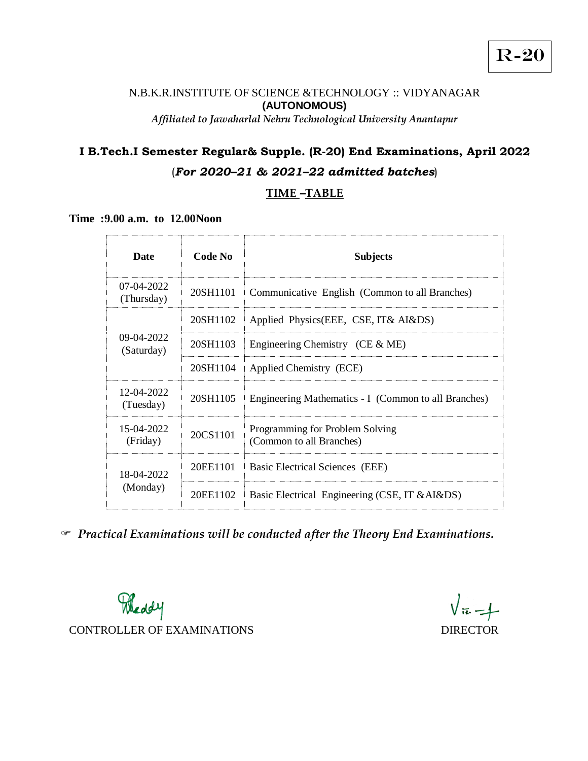#### N.B.K.R.INSTITUTE OF SCIENCE &TECHNOLOGY :: VIDYANAGAR **(AUTONOMOUS)** *Affiliated to Jawaharlal Nehru Technological University Anantapur*

# **I B.Tech.I Semester Regular& Supple. (R-20) End Examinations, April 2022**

# (*For 2020–21 & 2021–22 admitted batches*)

## **TIME** *–***TABLE**

**Time :9.00 a.m. to 12.00Noon**

| <b>Date</b>              | Code No  | <b>Subjects</b>                                             |
|--------------------------|----------|-------------------------------------------------------------|
| 07-04-2022<br>(Thursday) | 20SH1101 | Communicative English (Common to all Branches)              |
| 09-04-2022<br>(Saturday) | 20SH1102 | Applied Physics(EEE, CSE, IT& AI&DS)                        |
|                          | 20SH1103 | Engineering Chemistry (CE $&$ ME)                           |
|                          | 20SH1104 | Applied Chemistry (ECE)                                     |
| 12-04-2022<br>(Tuesday)  | 20SH1105 | Engineering Mathematics - I (Common to all Branches)        |
| 15-04-2022<br>(Friday)   | 20CS1101 | Programming for Problem Solving<br>(Common to all Branches) |
| 18-04-2022<br>(Monday)   | 20EE1101 | Basic Electrical Sciences (EEE)                             |
|                          | 20EE1102 | Basic Electrical Engineering (CSE, IT & AI&DS)              |

*Practical Examinations will be conducted after the Theory End Examinations.* 

Meddy CONTROLLER OF EXAMINATIONS DIRECTOR

 $\sqrt{\pi} - 1$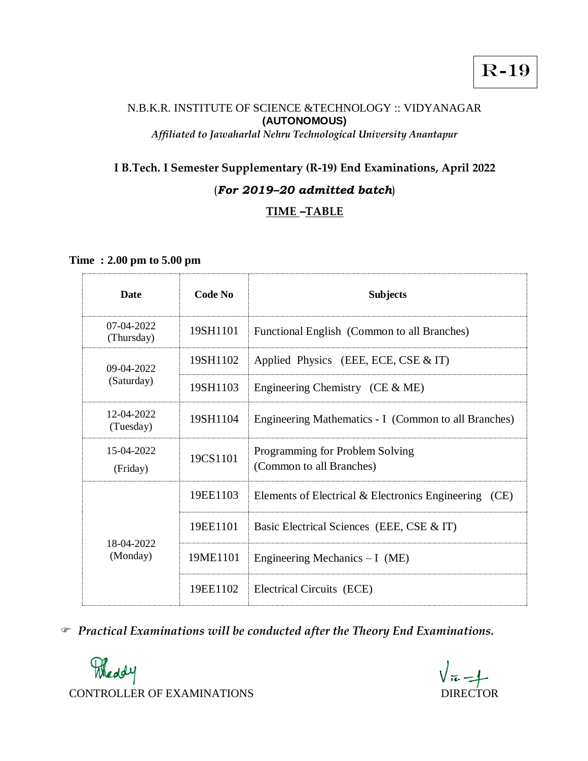## N.B.K.R. INSTITUTE OF SCIENCE &TECHNOLOGY :: VIDYANAGAR **(AUTONOMOUS)** *Affiliated to Jawaharlal Nehru Technological University Anantapur*

## **I B.Tech. I Semester Supplementary (R-19) End Examinations, April 2022**

## (*For 2019–20 admitted batch*)

# **TIME** *–***TABLE**

**Time : 2.00 pm to 5.00 pm** 

| <b>Date</b>                | Code No  | <b>Subjects</b>                                             |
|----------------------------|----------|-------------------------------------------------------------|
| $07-04-2022$<br>(Thursday) | 19SH1101 | Functional English (Common to all Branches)                 |
| 09-04-2022                 | 19SH1102 | Applied Physics (EEE, ECE, CSE $&$ IT)                      |
| (Saturday)                 | 19SH1103 | Engineering Chemistry (CE $&$ ME)                           |
| 12-04-2022<br>(Tuesday)    | 19SH1104 | Engineering Mathematics - I (Common to all Branches)        |
| 15-04-2022<br>(Friday)     | 19CS1101 | Programming for Problem Solving<br>(Common to all Branches) |
|                            | 19EE1103 | Elements of Electrical & Electronics Engineering<br>(CE)    |
|                            | 19EE1101 | Basic Electrical Sciences (EEE, CSE & IT)                   |
| 18-04-2022<br>(Monday)     | 19ME1101 | Engineering Mechanics $-I$ (ME)                             |
|                            | 19EE1102 | Electrical Circuits (ECE)                                   |

*Practical Examinations will be conducted after the Theory End Examinations.* 

Meddy CONTROLLER OF EXAMINATIONS DIRECTOR

 $\sqrt{\pi}-1$